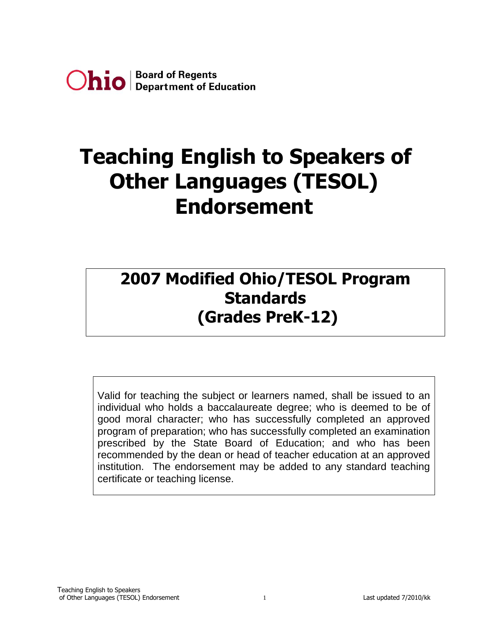

# **Teaching English to Speakers of Other Languages (TESOL) Endorsement**

## **2007 Modified Ohio/TESOL Program Standards (Grades PreK-12)**

Valid for teaching the subject or learners named, shall be issued to an individual who holds a baccalaureate degree; who is deemed to be of good moral character; who has successfully completed an approved program of preparation; who has successfully completed an examination prescribed by the State Board of Education; and who has been recommended by the dean or head of teacher education at an approved institution. The endorsement may be added to any standard teaching certificate or teaching license.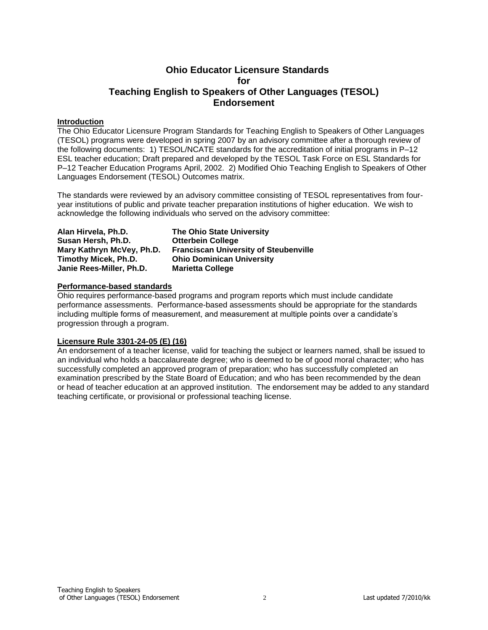### **Ohio Educator Licensure Standards for Teaching English to Speakers of Other Languages (TESOL) Endorsement**

#### **Introduction**

The Ohio Educator Licensure Program Standards for Teaching English to Speakers of Other Languages (TESOL) programs were developed in spring 2007 by an advisory committee after a thorough review of the following documents: 1) TESOL/NCATE standards for the accreditation of initial programs in P–12 ESL teacher education; Draft prepared and developed by the TESOL Task Force on ESL Standards for P–12 Teacher Education Programs April, 2002. 2) Modified Ohio Teaching English to Speakers of Other Languages Endorsement (TESOL) Outcomes matrix.

The standards were reviewed by an advisory committee consisting of TESOL representatives from fouryear institutions of public and private teacher preparation institutions of higher education. We wish to acknowledge the following individuals who served on the advisory committee:

| Alan Hirvela, Ph.D.       | <b>The Ohio State University</b>             |
|---------------------------|----------------------------------------------|
| Susan Hersh, Ph.D.        | <b>Otterbein College</b>                     |
| Mary Kathryn McVey, Ph.D. | <b>Franciscan University of Steubenville</b> |
| Timothy Micek, Ph.D.      | <b>Ohio Dominican University</b>             |
| Janie Rees-Miller, Ph.D.  | <b>Marietta College</b>                      |

#### **Performance-based standards**

Ohio requires performance-based programs and program reports which must include candidate performance assessments. Performance-based assessments should be appropriate for the standards including multiple forms of measurement, and measurement at multiple points over a candidate's progression through a program.

#### **Licensure Rule 3301-24-05 (E) (16)**

An endorsement of a teacher license, valid for teaching the subject or learners named, shall be issued to an individual who holds a baccalaureate degree; who is deemed to be of good moral character; who has successfully completed an approved program of preparation; who has successfully completed an examination prescribed by the State Board of Education; and who has been recommended by the dean or head of teacher education at an approved institution. The endorsement may be added to any standard teaching certificate, or provisional or professional teaching license.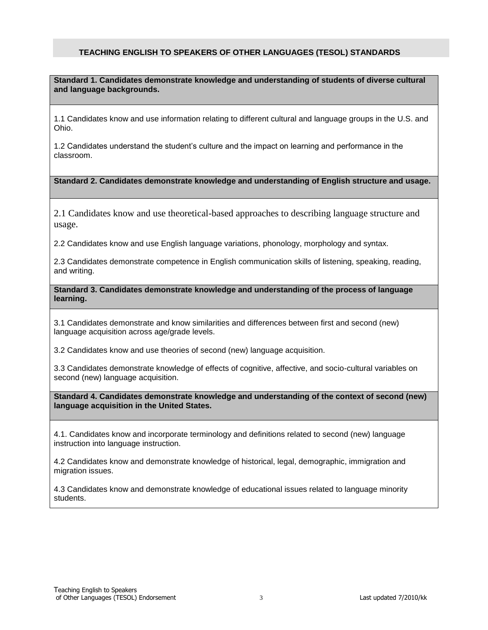#### **TEACHING ENGLISH TO SPEAKERS OF OTHER LANGUAGES (TESOL) STANDARDS**

**Standard 1. Candidates demonstrate knowledge and understanding of students of diverse cultural and language backgrounds.**

1.1 Candidates know and use information relating to different cultural and language groups in the U.S. and Ohio.

1.2 Candidates understand the student's culture and the impact on learning and performance in the classroom.

#### **Standard 2. Candidates demonstrate knowledge and understanding of English structure and usage.**

2.1 Candidates know and use theoretical-based approaches to describing language structure and usage.

2.2 Candidates know and use English language variations, phonology, morphology and syntax.

2.3 Candidates demonstrate competence in English communication skills of listening, speaking, reading, and writing.

**Standard 3. Candidates demonstrate knowledge and understanding of the process of language learning.**

3.1 Candidates demonstrate and know similarities and differences between first and second (new) language acquisition across age/grade levels.

3.2 Candidates know and use theories of second (new) language acquisition.

3.3 Candidates demonstrate knowledge of effects of cognitive, affective, and socio-cultural variables on second (new) language acquisition.

**Standard 4. Candidates demonstrate knowledge and understanding of the context of second (new) language acquisition in the United States.**

4.1. Candidates know and incorporate terminology and definitions related to second (new) language instruction into language instruction.

4.2 Candidates know and demonstrate knowledge of historical, legal, demographic, immigration and migration issues.

4.3 Candidates know and demonstrate knowledge of educational issues related to language minority students.